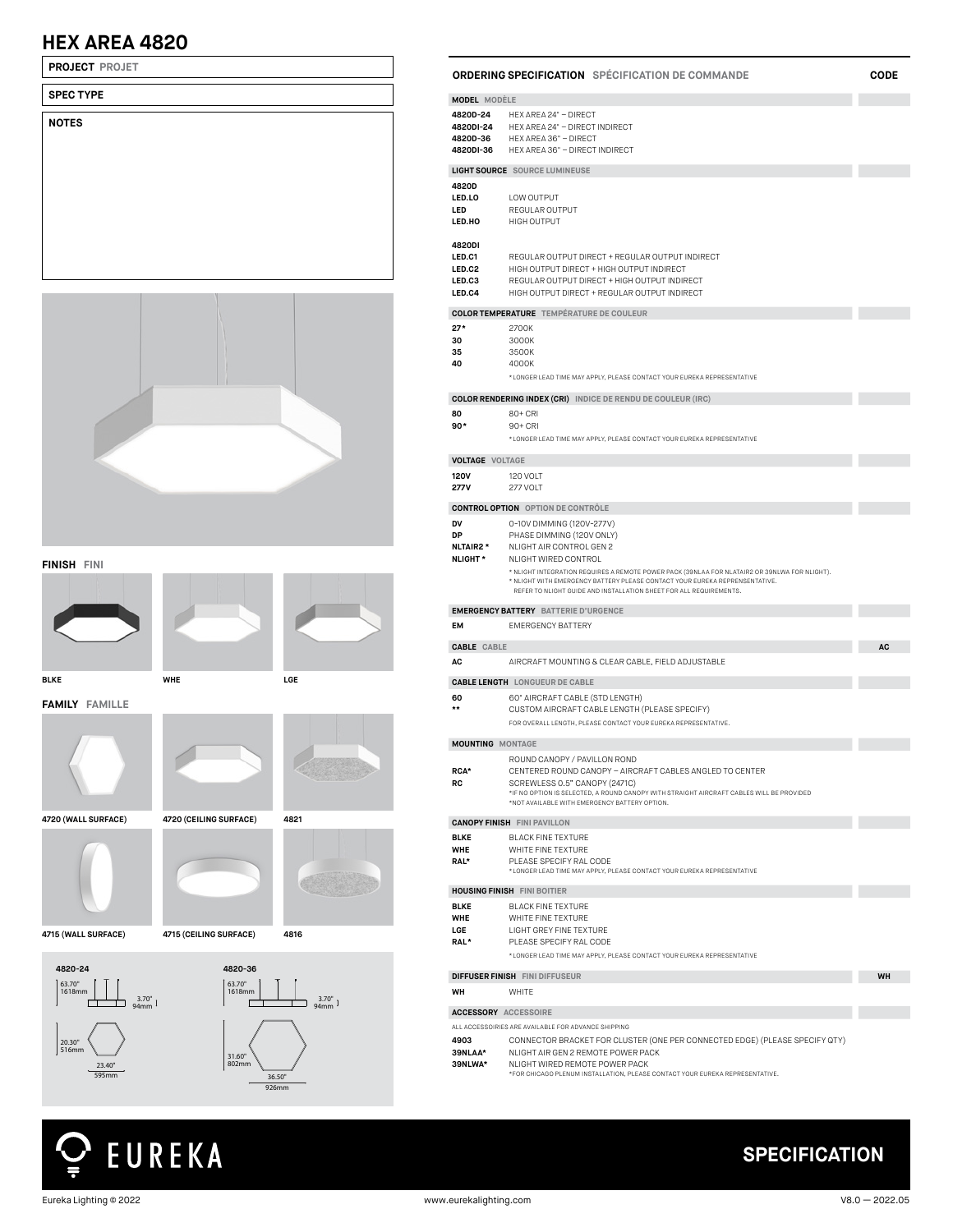## **HEX AREA 4820**

**PROJECT PROJET**

| <b>SPEC TYPE</b> |  |  |  |
|------------------|--|--|--|
| <b>NOTES</b>     |  |  |  |
|                  |  |  |  |
|                  |  |  |  |
|                  |  |  |  |
|                  |  |  |  |
|                  |  |  |  |
|                  |  |  |  |
|                  |  |  |  |



**FINISH FINI**





**FAMILY FAMILLE**









63.70" 1618mm

20.30" 516mm

**4715 (WALL SURFACE) 4715 (CEILING SURFACE) 4816**



# EUREKA

| <b>MODEL MODÈLE</b>                         |                                                                                                                                                                              |           |  |  |
|---------------------------------------------|------------------------------------------------------------------------------------------------------------------------------------------------------------------------------|-----------|--|--|
| 4820D-24                                    | HEX AREA 24" - DIRECT                                                                                                                                                        |           |  |  |
| 4820DI-24<br>4820D-36                       | HEX AREA 24" - DIRECT INDIRECT<br>HEX AREA 36" - DIRECT                                                                                                                      |           |  |  |
| 4820DI-36                                   | HEX AREA 36" - DIRECT INDIRECT                                                                                                                                               |           |  |  |
|                                             | <b>LIGHT SOURCE</b> SOURCE LUMINEUSE                                                                                                                                         |           |  |  |
| 4820D                                       |                                                                                                                                                                              |           |  |  |
| LED.LO                                      | LOW OUTPUT                                                                                                                                                                   |           |  |  |
| LED                                         | REGULAR OUTPUT                                                                                                                                                               |           |  |  |
| LED.HO                                      | HIGH OUTPUT                                                                                                                                                                  |           |  |  |
| 4820DI                                      |                                                                                                                                                                              |           |  |  |
| LED.C1                                      | REGULAR OUTPUT DIRECT + REGULAR OUTPUT INDIRECT                                                                                                                              |           |  |  |
| LED.C2                                      | HIGH OUTPUT DIRECT + HIGH OUTPUT INDIRECT                                                                                                                                    |           |  |  |
| LED.C3                                      | REGULAR OUTPUT DIRECT + HIGH OUTPUT INDIRECT                                                                                                                                 |           |  |  |
| LED.C4                                      | HIGH OUTPUT DIRECT + REGULAR OUTPUT INDIRECT                                                                                                                                 |           |  |  |
|                                             | <b>COLOR TEMPERATURE</b> TEMPÉRATURE DE COULEUR                                                                                                                              |           |  |  |
| $27*$                                       | 2700K                                                                                                                                                                        |           |  |  |
| 30                                          | 3000K                                                                                                                                                                        |           |  |  |
| 35                                          | 3500K                                                                                                                                                                        |           |  |  |
| 40                                          | 4000K                                                                                                                                                                        |           |  |  |
|                                             | *LONGER LEAD TIME MAY APPLY, PLEASE CONTACT YOUR EUREKA REPRESENTATIVE                                                                                                       |           |  |  |
|                                             | <b>COLOR RENDERING INDEX (CRI)</b> INDICE DE RENDU DE COULEUR (IRC)                                                                                                          |           |  |  |
| 80                                          | 80+ CRI                                                                                                                                                                      |           |  |  |
| $90*$                                       | $90+CRI$                                                                                                                                                                     |           |  |  |
|                                             | *LONGER LEAD TIME MAY APPLY, PLEASE CONTACT YOUR EUREKA REPRESENTATIVE                                                                                                       |           |  |  |
| <b>VOLTAGE VOLTAGE</b>                      |                                                                                                                                                                              |           |  |  |
| <b>120V</b>                                 | <b>120 VOLT</b>                                                                                                                                                              |           |  |  |
| 277V                                        | 277 VOLT                                                                                                                                                                     |           |  |  |
|                                             | <b>CONTROL OPTION</b> OPTION DE CONTRÔLE                                                                                                                                     |           |  |  |
| DV                                          | 0-10V DIMMING (120V-277V)                                                                                                                                                    |           |  |  |
| DP                                          | PHASE DIMMING (120V ONLY)                                                                                                                                                    |           |  |  |
| <b>NLTAIR2*</b>                             | NLIGHT AIR CONTROL GEN 2                                                                                                                                                     |           |  |  |
| <b>NLIGHT*</b>                              | NLIGHT WIRED CONTROL                                                                                                                                                         |           |  |  |
|                                             | * NLIGHT INTEGRATION REQUIRES A REMOTE POWER PACK (39NLAA FOR NLATAIR2 OR 39NLWA FOR NLIGHT).<br>* NLIGHT WITH EMERGENCY BATTERY PLEASE CONTACT YOUR EUREKA REPRENSENTATIVE. |           |  |  |
|                                             | REFER TO NLIGHT GUIDE AND INSTALLATION SHEET FOR ALL REQUIREMENTS.                                                                                                           |           |  |  |
| <b>EMERGENCY BATTERY</b> BATTERIE D'URGENCE |                                                                                                                                                                              |           |  |  |
| EM                                          | <b>EMERGENCY BATTERY</b>                                                                                                                                                     |           |  |  |
| <b>CABLE CABLE</b>                          |                                                                                                                                                                              | <b>AC</b> |  |  |
| AC                                          | AIRCRAFT MOUNTING & CLEAR CABLE, FIELD ADJUSTABLE                                                                                                                            |           |  |  |
|                                             | <b>CABLE LENGTH</b> LONGUEUR DE CABLE                                                                                                                                        |           |  |  |
|                                             |                                                                                                                                                                              |           |  |  |

| AC                      | AIRCRAFT MOUNTING & CLEAR CABLE. FIELD ADJUSTABLE              |
|-------------------------|----------------------------------------------------------------|
|                         | <b>CABLE LENGTH</b> LONGUEUR DE CABLE                          |
| 60                      | 60" AIRCRAFT CABLE (STD LENGTH)                                |
| **                      | CUSTOM AIRCRAFT CABLE LENGTH (PLEASE SPECIFY)                  |
|                         | FOR OVERALL LENGTH, PLEASE CONTACT YOUR EUREKA REPRESENTATIVE. |
| <b>MOUNTING MONTAGE</b> |                                                                |
|                         |                                                                |

**RCA\* RC** ROUND CANOPY / PAVILLON ROND CENTERED ROUND CANOPY – AIRCRAFT CABLES ANGLED TO CENTER SCREWLESS 0.5" CANOPY (2471C)<br>\*IF NO OPTION IS SELECTED, A ROUND CANOPY WITH STRAIGHT AIRCRAFT CABLES WILL BE PROVIDED<br>\*NOT AVAILABLE WITH EMERGENCY BATTERY OPTION.

|                                          | <b>CANOPY FINISH FINI PAVILLON</b>                                                                                                                                                      |           |
|------------------------------------------|-----------------------------------------------------------------------------------------------------------------------------------------------------------------------------------------|-----------|
| <b>BLKE</b><br><b>WHE</b><br>RAL*        | <b>BI ACK FINE TEXTURE</b><br>WHITE FINE TEXTURE<br>PLEASE SPECIFY RAL CODE<br>*LONGER LEAD TIME MAY APPLY, PLEASE CONTACT YOUR EUREKA REPRESENTATIVE                                   |           |
|                                          | <b>HOUSING FINISH FINI BOITIER</b>                                                                                                                                                      |           |
| <b>BLKE</b><br><b>WHE</b><br>LGE<br>RAL* | <b>BI ACK FINE TEXTURE</b><br>WHITE FINE TEXTURE<br><b>LIGHT GREY FINE TEXTURE</b><br>PLEASE SPECIEY RAL CODE<br>*LONGER LEAD TIME MAY APPLY, PLEASE CONTACT YOUR EUREKA REPRESENTATIVE |           |
|                                          | <b>DIFFUSER FINISH FINI DIFFUSEUR</b>                                                                                                                                                   | <b>WH</b> |

**WH** WHITE

#### **ACCESSORY ACCESSOIRE**

#### ALL ACCESSOIRIES ARE AVAILABLE FOR ADVANCE SHIPPING **4903 39NLAA\*** CONNECTOR BRACKET FOR CLUSTER (ONE PER CONNECTED EDGE) (PLEASE SPECIFY QTY) NLIGHT AIR GEN 2 REMOTE POWER PACK

**39NLWA\*** NLIGHT WIRED REMOTE POWER PACK

\*FOR CHICAGO PLENUM INSTALLATION, PLEASE CONTACT YOUR EUREKA REPRESENTATIVE.



**ORDERING SPECIFICATION SPÉCIFICATION DE COMMANDE CODE Contract Contract**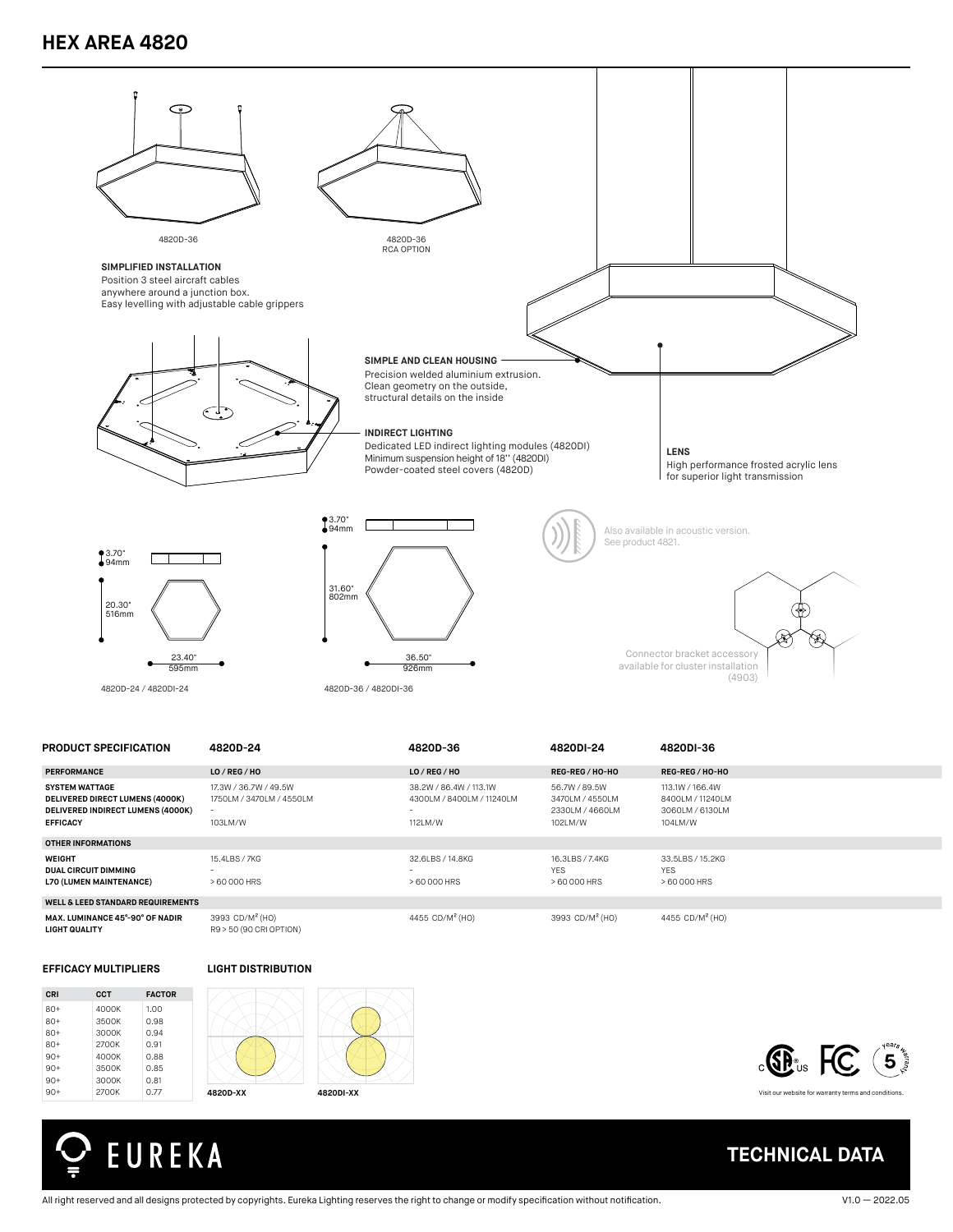### **HEX AREA 4820**



| <b>PRODUCT SPECIFICATION</b>                                                                                            | 4820D-24                                                     | 4820D-36                                                            | 4820DI-24                                                      | 4820DI-36                                                         |  |
|-------------------------------------------------------------------------------------------------------------------------|--------------------------------------------------------------|---------------------------------------------------------------------|----------------------------------------------------------------|-------------------------------------------------------------------|--|
| <b>PERFORMANCE</b>                                                                                                      | LO/REG/HO                                                    | LO / REG / HO                                                       | REG-REG / HO-HO                                                | REG-REG / HO-HO                                                   |  |
| <b>SYSTEM WATTAGE</b><br><b>DELIVERED DIRECT LUMENS (4000K)</b><br>DELIVERED INDIRECT LUMENS (4000K)<br><b>EFFICACY</b> | 17.3W / 36.7W / 49.5W<br>1750LM / 3470LM / 4550LM<br>103LM/W | 38,2W / 86,4W / 113,1W<br>4300LM / 8400LM / 11240LM<br>۰<br>112LM/W | 56.7W / 89.5W<br>3470LM / 4550LM<br>2330LM / 4660LM<br>102LM/W | 113.1W / 166.4W<br>8400LM / 11240LM<br>3060LM / 6130LM<br>104LM/W |  |
| OTHER INFORMATIONS                                                                                                      |                                                              |                                                                     |                                                                |                                                                   |  |
| <b>WEIGHT</b><br><b>DUAL CIRCUIT DIMMING</b><br><b>L70 (LUMEN MAINTENANCE)</b>                                          | 15.4LBS / 7KG<br>> 60 000 HRS                                | 32.6LBS / 14.8KG<br>> 60 000 HRS                                    | 16.3LBS / 7.4KG<br><b>YES</b><br>> 60 000 HRS                  | 33.5LBS / 15.2KG<br><b>YES</b><br>> 60 000 HRS                    |  |
| <b>WELL &amp; LEED STANDARD REQUIREMENTS</b>                                                                            |                                                              |                                                                     |                                                                |                                                                   |  |
| MAX. LUMINANCE 45°-90° OF NADIR<br><b>LIGHT QUALITY</b>                                                                 | 3993 CD/M <sup>2</sup> (HO)<br>R9 > 50 (90 CRI OPTION)       | 4455 CD/M <sup>2</sup> (HO)                                         | 3993 CD/M <sup>2</sup> (HO)                                    | 4455 CD/M <sup>2</sup> (HO)                                       |  |

#### **EFFICACY MULTIPLIERS**









Visit our website for warranty terms and conditions.

**TECHNICAL DATA**